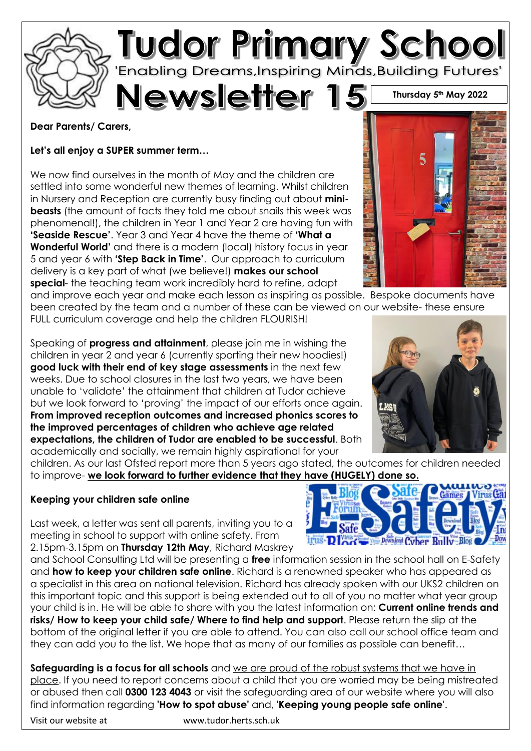

#### **Dear Parents/ Carers,**

**Let's all enjoy a SUPER summer term…** 

We now find ourselves in the month of May and the children are settled into some wonderful new themes of learning. Whilst children in Nursery and Reception are currently busy finding out about **minibeasts** (the amount of facts they told me about snails this week was phenomenal!), the children in Year 1 and Year 2 are having fun with **'Seaside Rescue'**. Year 3 and Year 4 have the theme of **'What a Wonderful World'** and there is a modern (local) history focus in year 5 and year 6 with **'Step Back in Time'**. Our approach to curriculum delivery is a key part of what (we believe!) **makes our school special**- the teaching team work incredibly hard to refine, adapt

and improve each year and make each lesson as inspiring as possible. Bespoke documents have been created by the team and a number of these can be viewed on our website- these ensure FULL curriculum coverage and help the children FLOURISH!

Speaking of **progress and attainment**, please join me in wishing the children in year 2 and year 6 (currently sporting their new hoodies!) **good luck with their end of key stage assessments** in the next few weeks. Due to school closures in the last two years, we have been unable to 'validate' the attainment that children at Tudor achieve but we look forward to 'proving' the impact of our efforts once again. **From improved reception outcomes and increased phonics scores to the improved percentages of children who achieve age related expectations, the children of Tudor are enabled to be successful**. Both academically and socially, we remain highly aspirational for your



children. As our last Ofsted report more than 5 years ago stated, the outcomes for children needed to improve- **we look forward to further evidence that they have (HUGELY) done so.** 

#### **Keeping your children safe online**

Last week, a letter was sent all parents, inviting you to a meeting in school to support with online safety. From 2.15pm-3.15pm on **Thursday 12th May**, Richard Maskrey

and School Consulting Ltd will be presenting a **free** information session in the school hall on E-Safety and **how to keep your children safe online**. Richard is a renowned speaker who has appeared as a specialist in this area on national television. Richard has already spoken with our UKS2 children on this important topic and this support is being extended out to all of you no matter what year group your child is in. He will be able to share with you the latest information on: **Current online trends and risks/ How to keep your child safe/ Where to find help and support**. Please return the slip at the bottom of the original letter if you are able to attend. You can also call our school office team and they can add you to the list. We hope that as many of our families as possible can benefit…

**Safeguarding is a focus for all schools** and we are proud of the robust systems that we have in place. If you need to report concerns about a child that you are worried may be being mistreated or abused then call **0300 123 4043** or visit the safeguarding area of our website where you will also find information regarding **'How to spot abuse'** and, '**Keeping young people safe online**'.

Visit our website at www.tudor.herts.sch.uk